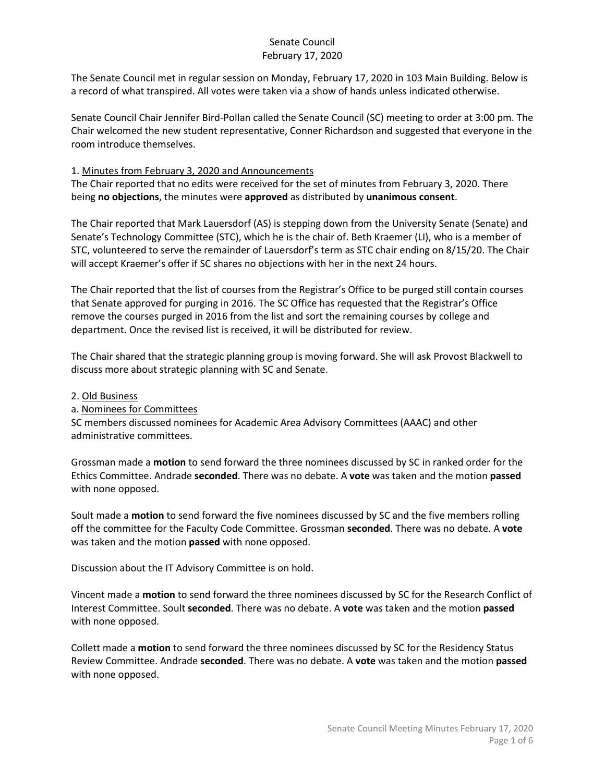The Senate Council met in regular session on Monday, February 17, 2020 in 103 Main Building. Below is a record of what transpired. All votes were taken via a show of hands unless indicated otherwise.

Senate Council Chair Jennifer Bird-Pollan called the Senate Council (SC) meeting to order at 3:00 pm. The Chair welcomed the new student representative, Conner Richardson and suggested that everyone in the room introduce themselves.

# 1. Minutes from February 3, 2020 and Announcements

The Chair reported that no edits were received for the set of minutes from February 3, 2020. There being **no objections**, the minutes were **approved** as distributed by **unanimous consent**.

The Chair reported that Mark Lauersdorf (AS) is stepping down from the University Senate (Senate) and Senate's Technology Committee (STC), which he is the chair of. Beth Kraemer (LI), who is a member of STC, volunteered to serve the remainder of Lauersdorf's term as STC chair ending on 8/15/20. The Chair will accept Kraemer's offer if SC shares no objections with her in the next 24 hours.

The Chair reported that the list of courses from the Registrar's Office to be purged still contain courses that Senate approved for purging in 2016. The SC Office has requested that the Registrar's Office remove the courses purged in 2016 from the list and sort the remaining courses by college and department. Once the revised list is received, it will be distributed for review.

The Chair shared that the strategic planning group is moving forward. She will ask Provost Blackwell to discuss more about strategic planning with SC and Senate.

# 2. Old Business

# a. Nominees for Committees

SC members discussed nominees for Academic Area Advisory Committees (AAAC) and other administrative committees.

Grossman made a **motion** to send forward the three nominees discussed by SC in ranked order for the Ethics Committee. Andrade **seconded**. There was no debate. A **vote** was taken and the motion **passed** with none opposed.

Soult made a **motion** to send forward the five nominees discussed by SC and the five members rolling off the committee for the Faculty Code Committee. Grossman **seconded**. There was no debate. A **vote** was taken and the motion **passed** with none opposed.

Discussion about the IT Advisory Committee is on hold.

Vincent made a **motion** to send forward the three nominees discussed by SC for the Research Conflict of Interest Committee. Soult **seconded**. There was no debate. A **vote** was taken and the motion **passed** with none opposed.

Collett made a **motion** to send forward the three nominees discussed by SC for the Residency Status Review Committee. Andrade **seconded**. There was no debate. A **vote** was taken and the motion **passed** with none opposed.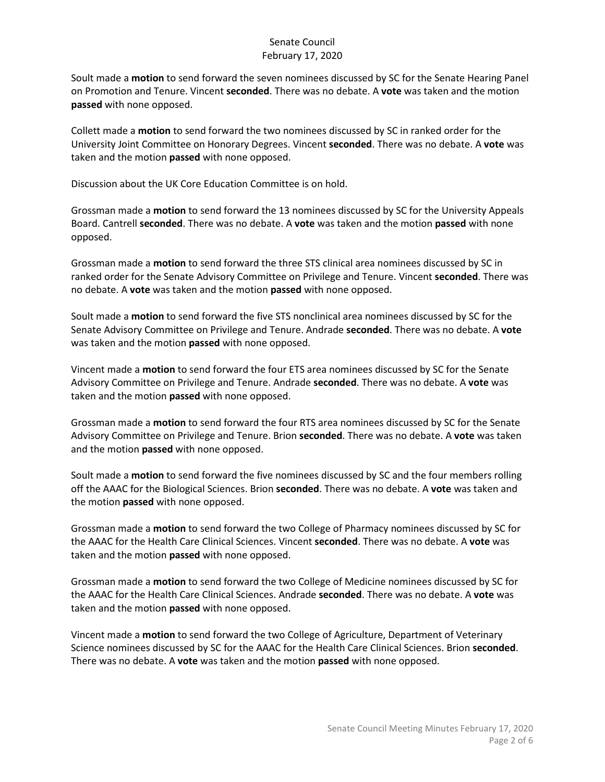Soult made a **motion** to send forward the seven nominees discussed by SC for the Senate Hearing Panel on Promotion and Tenure. Vincent **seconded**. There was no debate. A **vote** was taken and the motion **passed** with none opposed.

Collett made a **motion** to send forward the two nominees discussed by SC in ranked order for the University Joint Committee on Honorary Degrees. Vincent **seconded**. There was no debate. A **vote** was taken and the motion **passed** with none opposed.

Discussion about the UK Core Education Committee is on hold.

Grossman made a **motion** to send forward the 13 nominees discussed by SC for the University Appeals Board. Cantrell **seconded**. There was no debate. A **vote** was taken and the motion **passed** with none opposed.

Grossman made a **motion** to send forward the three STS clinical area nominees discussed by SC in ranked order for the Senate Advisory Committee on Privilege and Tenure. Vincent **seconded**. There was no debate. A **vote** was taken and the motion **passed** with none opposed.

Soult made a **motion** to send forward the five STS nonclinical area nominees discussed by SC for the Senate Advisory Committee on Privilege and Tenure. Andrade **seconded**. There was no debate. A **vote** was taken and the motion **passed** with none opposed.

Vincent made a **motion** to send forward the four ETS area nominees discussed by SC for the Senate Advisory Committee on Privilege and Tenure. Andrade **seconded**. There was no debate. A **vote** was taken and the motion **passed** with none opposed.

Grossman made a **motion** to send forward the four RTS area nominees discussed by SC for the Senate Advisory Committee on Privilege and Tenure. Brion **seconded**. There was no debate. A **vote** was taken and the motion **passed** with none opposed.

Soult made a **motion** to send forward the five nominees discussed by SC and the four members rolling off the AAAC for the Biological Sciences. Brion **seconded**. There was no debate. A **vote** was taken and the motion **passed** with none opposed.

Grossman made a **motion** to send forward the two College of Pharmacy nominees discussed by SC for the AAAC for the Health Care Clinical Sciences. Vincent **seconded**. There was no debate. A **vote** was taken and the motion **passed** with none opposed.

Grossman made a **motion** to send forward the two College of Medicine nominees discussed by SC for the AAAC for the Health Care Clinical Sciences. Andrade **seconded**. There was no debate. A **vote** was taken and the motion **passed** with none opposed.

Vincent made a **motion** to send forward the two College of Agriculture, Department of Veterinary Science nominees discussed by SC for the AAAC for the Health Care Clinical Sciences. Brion **seconded**. There was no debate. A **vote** was taken and the motion **passed** with none opposed.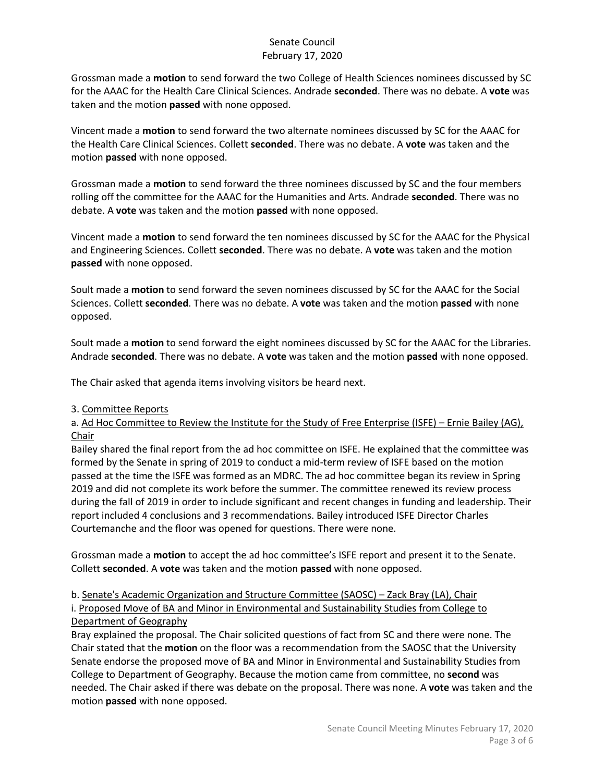Grossman made a **motion** to send forward the two College of Health Sciences nominees discussed by SC for the AAAC for the Health Care Clinical Sciences. Andrade **seconded**. There was no debate. A **vote** was taken and the motion **passed** with none opposed.

Vincent made a **motion** to send forward the two alternate nominees discussed by SC for the AAAC for the Health Care Clinical Sciences. Collett **seconded**. There was no debate. A **vote** was taken and the motion **passed** with none opposed.

Grossman made a **motion** to send forward the three nominees discussed by SC and the four members rolling off the committee for the AAAC for the Humanities and Arts. Andrade **seconded**. There was no debate. A **vote** was taken and the motion **passed** with none opposed.

Vincent made a **motion** to send forward the ten nominees discussed by SC for the AAAC for the Physical and Engineering Sciences. Collett **seconded**. There was no debate. A **vote** was taken and the motion **passed** with none opposed.

Soult made a **motion** to send forward the seven nominees discussed by SC for the AAAC for the Social Sciences. Collett **seconded**. There was no debate. A **vote** was taken and the motion **passed** with none opposed.

Soult made a **motion** to send forward the eight nominees discussed by SC for the AAAC for the Libraries. Andrade **seconded**. There was no debate. A **vote** was taken and the motion **passed** with none opposed.

The Chair asked that agenda items involving visitors be heard next.

# 3. Committee Reports

a. Ad Hoc Committee to Review the Institute for the Study of Free Enterprise (ISFE) – Ernie Bailey (AG), Chair

Bailey shared the final report from the ad hoc committee on ISFE. He explained that the committee was formed by the Senate in spring of 2019 to conduct a mid-term review of ISFE based on the motion passed at the time the ISFE was formed as an MDRC. The ad hoc committee began its review in Spring 2019 and did not complete its work before the summer. The committee renewed its review process during the fall of 2019 in order to include significant and recent changes in funding and leadership. Their report included 4 conclusions and 3 recommendations. Bailey introduced ISFE Director Charles Courtemanche and the floor was opened for questions. There were none.

Grossman made a **motion** to accept the ad hoc committee's ISFE report and present it to the Senate. Collett **seconded**. A **vote** was taken and the motion **passed** with none opposed.

# b. Senate's Academic Organization and Structure Committee (SAOSC) – Zack Bray (LA), Chair i. Proposed Move of BA and Minor in Environmental and Sustainability Studies from College to Department of Geography

Bray explained the proposal. The Chair solicited questions of fact from SC and there were none. The Chair stated that the **motion** on the floor was a recommendation from the SAOSC that the University Senate endorse the proposed move of BA and Minor in Environmental and Sustainability Studies from College to Department of Geography. Because the motion came from committee, no **second** was needed. The Chair asked if there was debate on the proposal. There was none. A **vote** was taken and the motion **passed** with none opposed.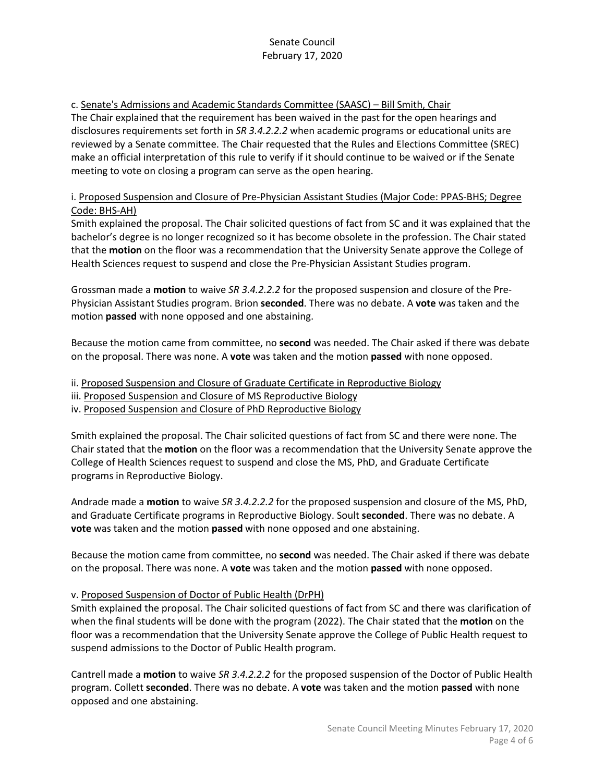# c. Senate's Admissions and Academic Standards Committee (SAASC) – Bill Smith, Chair

The Chair explained that the requirement has been waived in the past for the open hearings and disclosures requirements set forth in *SR 3.4.2.2.2* when academic programs or educational units are reviewed by a Senate committee. The Chair requested that the Rules and Elections Committee (SREC) make an official interpretation of this rule to verify if it should continue to be waived or if the Senate meeting to vote on closing a program can serve as the open hearing.

# i. Proposed Suspension and Closure of Pre-Physician Assistant Studies (Major Code: PPAS-BHS; Degree Code: BHS-AH)

Smith explained the proposal. The Chair solicited questions of fact from SC and it was explained that the bachelor's degree is no longer recognized so it has become obsolete in the profession. The Chair stated that the **motion** on the floor was a recommendation that the University Senate approve the College of Health Sciences request to suspend and close the Pre-Physician Assistant Studies program.

Grossman made a **motion** to waive *SR 3.4.2.2.2* for the proposed suspension and closure of the Pre-Physician Assistant Studies program. Brion **seconded**. There was no debate. A **vote** was taken and the motion **passed** with none opposed and one abstaining.

Because the motion came from committee, no **second** was needed. The Chair asked if there was debate on the proposal. There was none. A **vote** was taken and the motion **passed** with none opposed.

- ii. Proposed Suspension and Closure of Graduate Certificate in Reproductive Biology
- iii. Proposed Suspension and Closure of MS Reproductive Biology
- iv. Proposed Suspension and Closure of PhD Reproductive Biology

Smith explained the proposal. The Chair solicited questions of fact from SC and there were none. The Chair stated that the **motion** on the floor was a recommendation that the University Senate approve the College of Health Sciences request to suspend and close the MS, PhD, and Graduate Certificate programs in Reproductive Biology.

Andrade made a **motion** to waive *SR 3.4.2.2.2* for the proposed suspension and closure of the MS, PhD, and Graduate Certificate programs in Reproductive Biology. Soult **seconded**. There was no debate. A **vote** was taken and the motion **passed** with none opposed and one abstaining.

Because the motion came from committee, no **second** was needed. The Chair asked if there was debate on the proposal. There was none. A **vote** was taken and the motion **passed** with none opposed.

# v. Proposed Suspension of Doctor of Public Health (DrPH)

Smith explained the proposal. The Chair solicited questions of fact from SC and there was clarification of when the final students will be done with the program (2022). The Chair stated that the **motion** on the floor was a recommendation that the University Senate approve the College of Public Health request to suspend admissions to the Doctor of Public Health program.

Cantrell made a **motion** to waive *SR 3.4.2.2.2* for the proposed suspension of the Doctor of Public Health program. Collett **seconded**. There was no debate. A **vote** was taken and the motion **passed** with none opposed and one abstaining.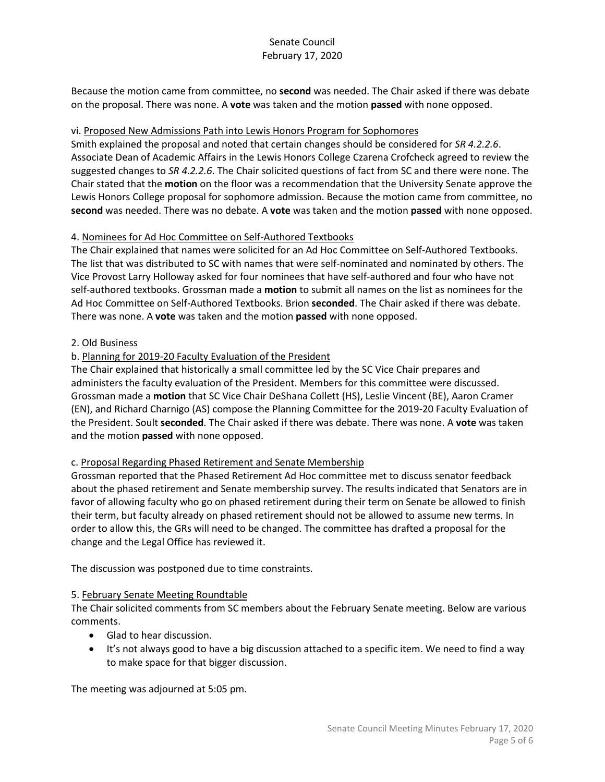Because the motion came from committee, no **second** was needed. The Chair asked if there was debate on the proposal. There was none. A **vote** was taken and the motion **passed** with none opposed.

### vi. Proposed New Admissions Path into Lewis Honors Program for Sophomores

Smith explained the proposal and noted that certain changes should be considered for *SR 4.2.2.6*. Associate Dean of Academic Affairs in the Lewis Honors College Czarena Crofcheck agreed to review the suggested changes to *SR 4.2.2.6*. The Chair solicited questions of fact from SC and there were none. The Chair stated that the **motion** on the floor was a recommendation that the University Senate approve the Lewis Honors College proposal for sophomore admission. Because the motion came from committee, no **second** was needed. There was no debate. A **vote** was taken and the motion **passed** with none opposed.

#### 4. Nominees for Ad Hoc Committee on Self-Authored Textbooks

The Chair explained that names were solicited for an Ad Hoc Committee on Self-Authored Textbooks. The list that was distributed to SC with names that were self-nominated and nominated by others. The Vice Provost Larry Holloway asked for four nominees that have self-authored and four who have not self-authored textbooks. Grossman made a **motion** to submit all names on the list as nominees for the Ad Hoc Committee on Self-Authored Textbooks. Brion **seconded**. The Chair asked if there was debate. There was none. A **vote** was taken and the motion **passed** with none opposed.

#### 2. Old Business

# b. Planning for 2019-20 Faculty Evaluation of the President

The Chair explained that historically a small committee led by the SC Vice Chair prepares and administers the faculty evaluation of the President. Members for this committee were discussed. Grossman made a **motion** that SC Vice Chair DeShana Collett (HS), Leslie Vincent (BE), Aaron Cramer (EN), and Richard Charnigo (AS) compose the Planning Committee for the 2019-20 Faculty Evaluation of the President. Soult **seconded**. The Chair asked if there was debate. There was none. A **vote** was taken and the motion **passed** with none opposed.

#### c. Proposal Regarding Phased Retirement and Senate Membership

Grossman reported that the Phased Retirement Ad Hoc committee met to discuss senator feedback about the phased retirement and Senate membership survey. The results indicated that Senators are in favor of allowing faculty who go on phased retirement during their term on Senate be allowed to finish their term, but faculty already on phased retirement should not be allowed to assume new terms. In order to allow this, the GRs will need to be changed. The committee has drafted a proposal for the change and the Legal Office has reviewed it.

The discussion was postponed due to time constraints.

#### 5. February Senate Meeting Roundtable

The Chair solicited comments from SC members about the February Senate meeting. Below are various comments.

- Glad to hear discussion.
- It's not always good to have a big discussion attached to a specific item. We need to find a way to make space for that bigger discussion.

The meeting was adjourned at 5:05 pm.